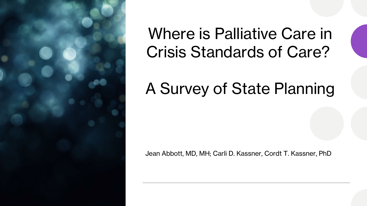

#### Where is Palliative Care in Crisis Standards of Care?

#### A Survey of State Planning

Jean Abbott, MD, MH; Carli D. Kassner, Cordt T. Kassner, PhD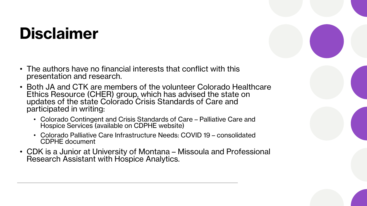### **Disclaimer**

- The authors have no financial interests that conflict with this presentation and research.
- Both JA and CTK are members of the volunteer Colorado Healthcare Ethics Resource (CHER) group, which has advised the state on updates of the state Colorado Crisis Standards of Care and participated in writing:
	- Colorado Contingent and Crisis Standards of Care Palliative Care and Hospice Services (available on CDPHE website)
	- Colorado Palliative Care Infrastructure Needs: COVID 19 consolidated CDPHE document
- CDK is a Junior at University of Montana Missoula and Professional Research Assistant with Hospice Analytics.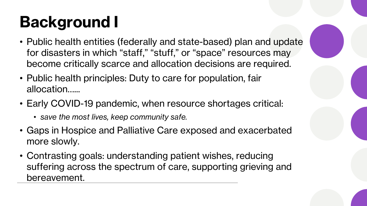# **Background I**

- Public health entities (federally and state-based) plan and update for disasters in which "staff," "stuff," or "space" resources may become critically scarce and allocation decisions are required.
- Public health principles: Duty to care for population, fair allocation…...
- Early COVID-19 pandemic, when resource shortages critical:
	- *save the most lives, keep community safe.*
- Gaps in Hospice and Palliative Care exposed and exacerbated more slowly.
- Contrasting goals: understanding patient wishes, reducing suffering across the spectrum of care, supporting grieving and bereavement.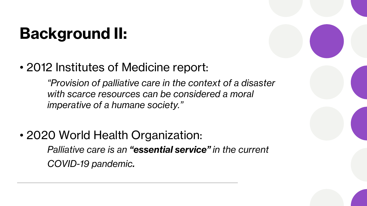## **Background II:**

• 2012 Institutes of Medicine report:

*"Provision of palliative care in the context of a disaster with scarce resources can be considered a moral imperative of a humane society."*

• 2020 World Health Organization:

*Palliative care is an "essential service" in the current COVID-19 pandemic.*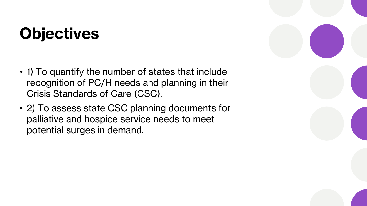### **Objectives**

- 1) To quantify the number of states that include recognition of PC/H needs and planning in their Crisis Standards of Care (CSC).
- 2) To assess state CSC planning documents for palliative and hospice service needs to meet potential surges in demand.

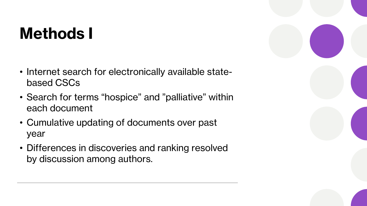#### **Methods I**

- Internet search for electronically available statebased CSCs
- Search for terms "hospice" and "palliative" within each document
- Cumulative updating of documents over past year
- Differences in discoveries and ranking resolved by discussion among authors.

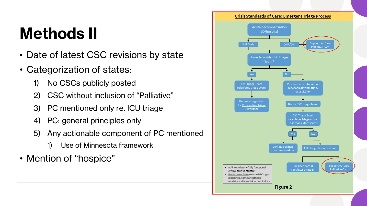### **Methods II**

- Date of latest CSC revisions by state
- Categorization of states:
	- 1) No CSCs publicly posted
	- 2) CSC without inclusion of "Palliative"
	- 3) PC mentioned only re. ICU triage
	- 4) PC: general principles only
	- 5) Any actionable component of PC mentioned
		- 1) Use of Minnesota framework
- Mention of "hospice"

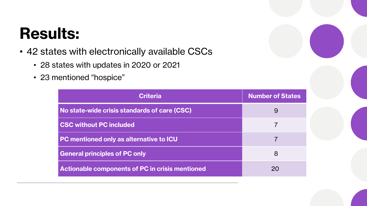#### **Results:**

- 42 states with electronically available CSCs
	- 28 states with updates in 2020 or 2021
	- 23 mentioned "hospice"

| <b>Criteria</b>                                        | <b>Number of States</b> |
|--------------------------------------------------------|-------------------------|
| No state-wide crisis standards of care (CSC)           | 9                       |
| <b>CSC without PC included</b>                         |                         |
| <b>PC mentioned only as alternative to ICU</b>         |                         |
| <b>General principles of PC only</b>                   | 8                       |
| <b>Actionable components of PC in crisis mentioned</b> | 20                      |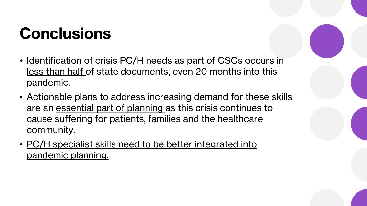### **Conclusions**

- Identification of crisis PC/H needs as part of CSCs occurs in less than half of state documents, even 20 months into this pandemic.
- Actionable plans to address increasing demand for these skills are an essential part of planning as this crisis continues to cause suffering for patients, families and the healthcare community.
- PC/H specialist skills need to be better integrated into pandemic planning.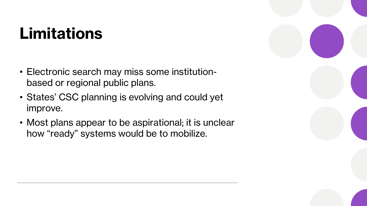#### **Limitations**

- Electronic search may miss some institutionbased or regional public plans.
- States' CSC planning is evolving and could yet improve.
- Most plans appear to be aspirational; it is unclear how "ready" systems would be to mobilize.

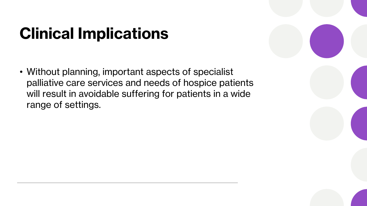### **Clinical Implications**

• Without planning, important aspects of specialist palliative care services and needs of hospice patients will result in avoidable suffering for patients in a wide range of settings.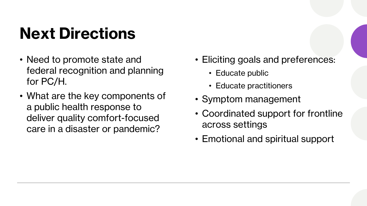## **Next Directions**

- Need to promote state and federal recognition and planning for PC/H.
- What are the key components of a public health response to deliver quality comfort-focused care in a disaster or pandemic?
- Eliciting goals and preferences:
	- Educate public
	- Educate practitioners
- Symptom management
- Coordinated support for frontline across settings
- Emotional and spiritual support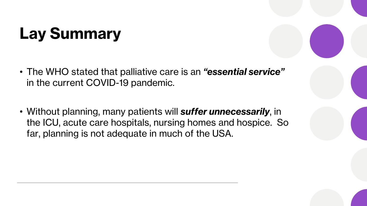## **Lay Summary**

- The WHO stated that palliative care is an *"essential service"*  in the current COVID-19 pandemic.
- Without planning, many patients will *suffer unnecessarily*, in the ICU, acute care hospitals, nursing homes and hospice. So far, planning is not adequate in much of the USA.